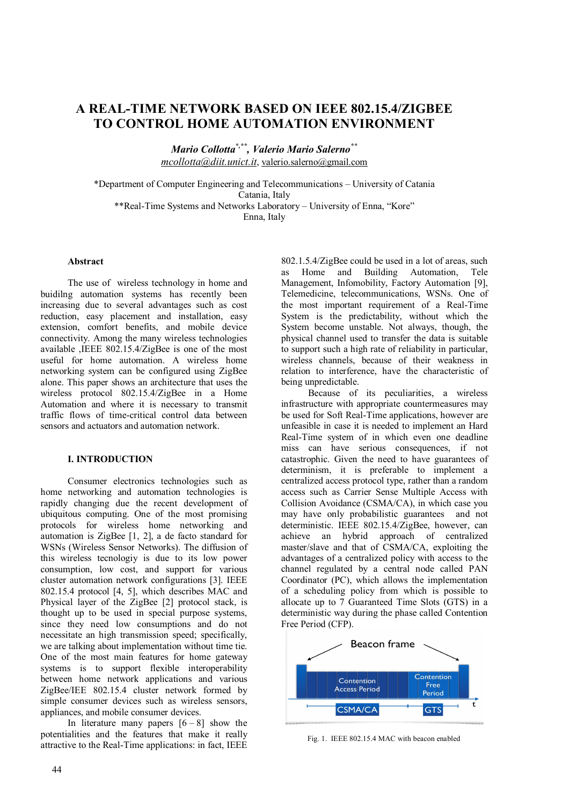# **A REAL-TIME NETWORK BASED ON IEEE 802.15.4/ZIGBEE TO CONTROL HOME AUTOMATION ENVIRONMENT**

*Mario Collotta\*,\*\* , Valerio Mario Salerno\*\* mcollotta@diit.unict.it*, valerio.salerno@gmail.com

\*Department of Computer Engineering and Telecommunications – University of Catania Catania, Italy \*\*Real-Time Systems and Networks Laboratory – University of Enna, "Kore" Enna, Italy

### **Abstract**

The use of wireless technology in home and buidilng automation systems has recently been increasing due to several advantages such as cost reduction, easy placement and installation, easy extension, comfort benefits, and mobile device connectivity. Among the many wireless technologies available ,IEEE 802.15.4/ZigBee is one of the most useful for home automation. A wireless home networking system can be configured using ZigBee alone. This paper shows an architecture that uses the wireless protocol 802.15.4/ZigBee in a Home Automation and where it is necessary to transmit traffic flows of time-critical control data between sensors and actuators and automation network.

#### **I. INTRODUCTION**

Consumer electronics technologies such as home networking and automation technologies is rapidly changing due the recent development of ubiquitous computing. One of the most promising protocols for wireless home networking and automation is ZigBee [1, 2], a de facto standard for WSNs (Wireless Sensor Networks). The diffusion of this wireless tecnologiy is due to its low power consumption, low cost, and support for various cluster automation network configurations [3]. IEEE 802.15.4 protocol [4, 5], which describes MAC and Physical layer of the ZigBee [2] protocol stack, is thought up to be used in special purpose systems, since they need low consumptions and do not necessitate an high transmission speed; specifically, we are talking about implementation without time tie. One of the most main features for home gateway systems is to support flexible interoperability between home network applications and various ZigBee/IEE 802.15.4 cluster network formed by simple consumer devices such as wireless sensors, appliances, and mobile consumer devices.

In literature many papers  $[6 - 8]$  show the potentialities and the features that make it really attractive to the Real-Time applications: in fact, IEEE 802.1.5.4/ZigBee could be used in a lot of areas, such as Home and Building Automation, Tele Management, Infomobility, Factory Automation [9], Telemedicine, telecommunications, WSNs. One of the most important requirement of a Real-Time System is the predictability, without which the System become unstable. Not always, though, the physical channel used to transfer the data is suitable to support such a high rate of reliability in particular, wireless channels, because of their weakness in relation to interference, have the characteristic of being unpredictable.

Because of its peculiarities, a wireless infrastructure with appropriate countermeasures may be used for Soft Real-Time applications, however are unfeasible in case it is needed to implement an Hard Real-Time system of in which even one deadline miss can have serious consequences, if not catastrophic. Given the need to have guarantees of determinism, it is preferable to implement a centralized access protocol type, rather than a random access such as Carrier Sense Multiple Access with Collision Avoidance (CSMA/CA), in which case you may have only probabilistic guarantees and not deterministic. IEEE 802.15.4/ZigBee, however, can achieve an hybrid approach of centralized master/slave and that of CSMA/CA, exploiting the advantages of a centralized policy with access to the channel regulated by a central node called PAN Coordinator (PC), which allows the implementation of a scheduling policy from which is possible to allocate up to 7 Guaranteed Time Slots (GTS) in a deterministic way during the phase called Contention Free Period (CFP).



Fig. 1. IEEE 802.15.4 MAC with beacon enabled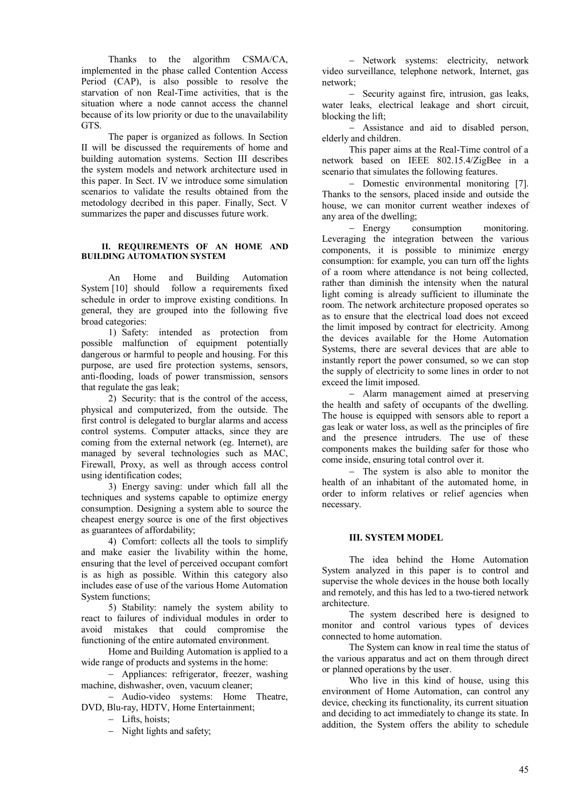Thanks to the algorithm CSMA/CA, implemented in the phase called Contention Access Period (CAP), is also possible to resolve the starvation of non Real-Time activities, that is the situation where a node cannot access the channel because of its low priority or due to the unavailability GTS.

The paper is organized as follows. In Section II will be discussed the requirements of home and building automation systems. Section III describes the system models and network architecture used in this paper. In Sect. IV we introduce some simulation scenarios to validate the results obtained from the metodology decribed in this paper. Finally, Sect. V summarizes the paper and discusses future work.

## **II. REQUIREMENTS OF AN HOME AND BUILDING AUTOMATION SYSTEM**

An Home and Building Automation System [10] should follow a requirements fixed schedule in order to improve existing conditions. In general, they are grouped into the following five broad categories:

1) Safety: intended as protection from possible malfunction of equipment potentially dangerous or harmful to people and housing. For this purpose, are used fire protection systems, sensors, anti-flooding, loads of power transmission, sensors that regulate the gas leak;

2) Security: that is the control of the access, physical and computerized, from the outside. The first control is delegated to burglar alarms and access control systems. Computer attacks, since they are coming from the external network (eg. Internet), are managed by several technologies such as MAC, Firewall, Proxy, as well as through access control using identification codes;

3) Energy saving: under which fall all the techniques and systems capable to optimize energy consumption. Designing a system able to source the cheapest energy source is one of the first objectives as guarantees of affordability;

4) Comfort: collects all the tools to simplify and make easier the livability within the home, ensuring that the level of perceived occupant comfort is as high as possible. Within this category also includes ease of use of the various Home Automation System functions;

5) Stability: namely the system ability to react to failures of individual modules in order to avoid mistakes that could compromise the functioning of the entire automated environment.

Home and Building Automation is applied to a wide range of products and systems in the home:

 Appliances: refrigerator, freezer, washing machine, dishwasher, oven, vacuum cleaner;

 Audio-video systems: Home Theatre, DVD, Blu-ray, HDTV, Home Entertainment;

- Lifts, hoists;

- Night lights and safety;

- Network systems: electricity, network video surveillance, telephone network, Internet, gas network;

Security against fire, intrusion, gas leaks, water leaks, electrical leakage and short circuit, blocking the lift;

 Assistance and aid to disabled person, elderly and children.

This paper aims at the Real-Time control of a network based on IEEE 802.15.4/ZigBee in a scenario that simulates the following features.

- Domestic environmental monitoring [7]. Thanks to the sensors, placed inside and outside the house, we can monitor current weather indexes of any area of the dwelling;

 Energy consumption monitoring. Leveraging the integration between the various components, it is possible to minimize energy consumption: for example, you can turn off the lights of a room where attendance is not being collected, rather than diminish the intensity when the natural light coming is already sufficient to illuminate the room. The network architecture proposed operates so as to ensure that the electrical load does not exceed the limit imposed by contract for electricity. Among the devices available for the Home Automation Systems, there are several devices that are able to instantly report the power consumed, so we can stop the supply of electricity to some lines in order to not exceed the limit imposed.

 Alarm management aimed at preserving the health and safety of occupants of the dwelling. The house is equipped with sensors able to report a gas leak or water loss, as well as the principles of fire and the presence intruders. The use of these components makes the building safer for those who come inside, ensuring total control over it.

- The system is also able to monitor the health of an inhabitant of the automated home, in order to inform relatives or relief agencies when necessary.

# **III. SYSTEM MODEL**

The idea behind the Home Automation System analyzed in this paper is to control and supervise the whole devices in the house both locally and remotely, and this has led to a two-tiered network architecture.

The system described here is designed to monitor and control various types of devices connected to home automation.

The System can know in real time the status of the various apparatus and act on them through direct or planned operations by the user.

Who live in this kind of house, using this environment of Home Automation, can control any device, checking its functionality, its current situation and deciding to act immediately to change its state. In addition, the System offers the ability to schedule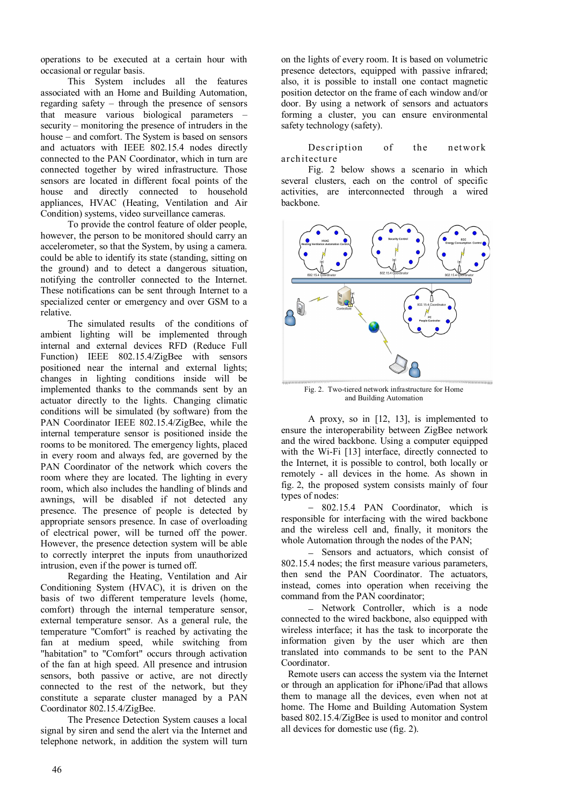operations to be executed at a certain hour with occasional or regular basis.

This System includes all the features associated with an Home and Building Automation, regarding safety – through the presence of sensors that measure various biological parameters – security – monitoring the presence of intruders in the house – and comfort. The System is based on sensors and actuators with IEEE 802.15.4 nodes directly connected to the PAN Coordinator, which in turn are connected together by wired infrastructure. Those sensors are located in different focal points of the house and directly connected to household appliances, HVAC (Heating, Ventilation and Air Condition) systems, video surveillance cameras.

To provide the control feature of older people, however, the person to be monitored should carry an accelerometer, so that the System, by using a camera. could be able to identify its state (standing, sitting on the ground) and to detect a dangerous situation, notifying the controller connected to the Internet. These notifications can be sent through Internet to a specialized center or emergency and over GSM to a relative.

The simulated results of the conditions of ambient lighting will be implemented through internal and external devices RFD (Reduce Full Function) IEEE 802.15.4/ZigBee with sensors positioned near the internal and external lights; changes in lighting conditions inside will be implemented thanks to the commands sent by an actuator directly to the lights. Changing climatic conditions will be simulated (by software) from the PAN Coordinator IEEE 802.15.4/ZigBee, while the internal temperature sensor is positioned inside the rooms to be monitored. The emergency lights, placed in every room and always fed, are governed by the PAN Coordinator of the network which covers the room where they are located. The lighting in every room, which also includes the handling of blinds and awnings, will be disabled if not detected any presence. The presence of people is detected by appropriate sensors presence. In case of overloading of electrical power, will be turned off the power. However, the presence detection system will be able to correctly interpret the inputs from unauthorized intrusion, even if the power is turned off.

Regarding the Heating, Ventilation and Air Conditioning System (HVAC), it is driven on the basis of two different temperature levels (home, comfort) through the internal temperature sensor, external temperature sensor. As a general rule, the temperature "Comfort" is reached by activating the fan at medium speed, while switching from "habitation" to "Comfort" occurs through activation of the fan at high speed. All presence and intrusion sensors, both passive or active, are not directly connected to the rest of the network, but they constitute a separate cluster managed by a PAN Coordinator 802.15.4/ZigBee.

The Presence Detection System causes a local signal by siren and send the alert via the Internet and telephone network, in addition the system will turn on the lights of every room. It is based on volumetric presence detectors, equipped with passive infrared; also, it is possible to install one contact magnetic position detector on the frame of each window and/or door. By using a network of sensors and actuators forming a cluster, you can ensure environmental safety technology (safety).

Description of the network architecture

Fig. 2 below shows a scenario in which several clusters, each on the control of specific activities, are interconnected through a wired backbone.



Fig. 2. Two-tiered network infrastructure for Home and Building Automation

A proxy, so in [12, 13], is implemented to ensure the interoperability between ZigBee network and the wired backbone. Using a computer equipped with the Wi-Fi [13] interface, directly connected to the Internet, it is possible to control, both locally or remotely - all devices in the home. As shown in fig. 2, the proposed system consists mainly of four types of nodes:

 802.15.4 PAN Coordinator, which is responsible for interfacing with the wired backbone and the wireless cell and, finally, it monitors the whole Automation through the nodes of the PAN;

- Sensors and actuators, which consist of 802.15.4 nodes; the first measure various parameters, then send the PAN Coordinator. The actuators, instead, comes into operation when receiving the command from the PAN coordinator;

- Network Controller, which is a node connected to the wired backbone, also equipped with wireless interface; it has the task to incorporate the information given by the user which are then translated into commands to be sent to the PAN Coordinator.

Remote users can access the system via the Internet or through an application for iPhone/iPad that allows them to manage all the devices, even when not at home. The Home and Building Automation System based 802.15.4/ZigBee is used to monitor and control all devices for domestic use (fig. 2).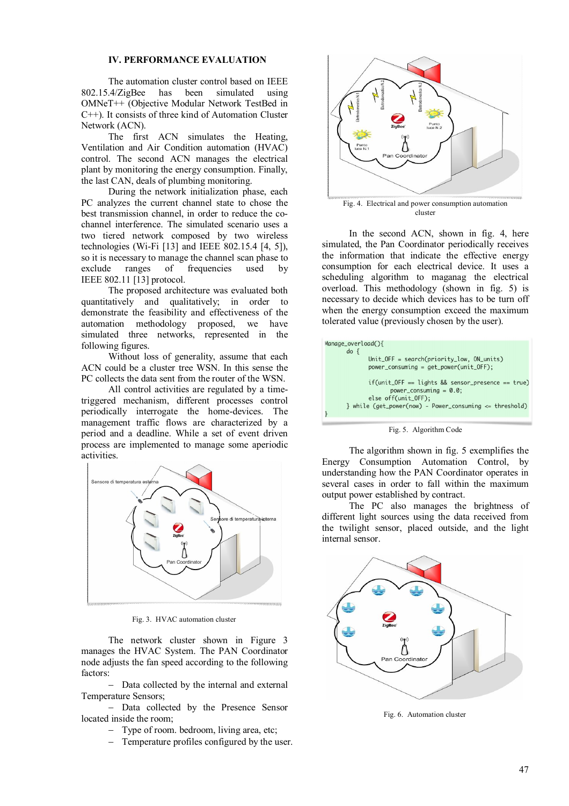### **IV. PERFORMANCE EVALUATION**

The automation cluster control based on IEEE 802.15.4/ZigBee has been simulated using OMNeT++ (Objective Modular Network TestBed in C++). It consists of three kind of Automation Cluster Network (ACN).

The first ACN simulates the Heating, Ventilation and Air Condition automation (HVAC) control. The second ACN manages the electrical plant by monitoring the energy consumption. Finally, the last CAN, deals of plumbing monitoring.

During the network initialization phase, each PC analyzes the current channel state to chose the best transmission channel, in order to reduce the cochannel interference. The simulated scenario uses a two tiered network composed by two wireless technologies (Wi-Fi [13] and IEEE 802.15.4 [4, 5]), so it is necessary to manage the channel scan phase to exclude ranges of frequencies used by IEEE 802.11 [13] protocol.

The proposed architecture was evaluated both quantitatively and qualitatively; in order to demonstrate the feasibility and effectiveness of the automation methodology proposed, we have simulated three networks, represented in the following figures.

Without loss of generality, assume that each ACN could be a cluster tree WSN. In this sense the PC collects the data sent from the router of the WSN.

All control activities are regulated by a timetriggered mechanism, different processes control periodically interrogate the home-devices. The management traffic flows are characterized by a period and a deadline. While a set of event driven process are implemented to manage some aperiodic activities.



Fig. 3. HVAC automation cluster

The network cluster shown in Figure 3 manages the HVAC System. The PAN Coordinator node adjusts the fan speed according to the following factors:

- Data collected by the internal and external Temperature Sensors;

- Data collected by the Presence Sensor located inside the room;

- Type of room. bedroom, living area, etc;
- Temperature profiles configured by the user.



Fig. 4. Electrical and power consumption automation cluster

In the second ACN, shown in fig. 4, here simulated, the Pan Coordinator periodically receives the information that indicate the effective energy consumption for each electrical device. It uses a scheduling algorithm to maganag the electrical overload. This methodology (shown in fig. 5) is necessary to decide which devices has to be turn off when the energy consumption exceed the maximum tolerated value (previously chosen by the user).

| Manage_overload(){<br>$do \{$                                                     |
|-----------------------------------------------------------------------------------|
| $Unit_{\text{off}} = search(priority_{\text{low}}, 0N_{\text{units}})$            |
| power_consuming = get_power(unit_OFF);                                            |
| $if$ (unit_OFF == lights && sensor_presence == true)<br>power_consuming = $0.0$ ; |
|                                                                                   |
| else off(unit_OFF);                                                               |
| } while $(get\_power(now) - Power\_consuming \leq threshold)$                     |
|                                                                                   |

Fig. 5. Algorithm Code

The algorithm shown in fig. 5 exemplifies the Energy Consumption Automation Control, by understanding how the PAN Coordinator operates in several cases in order to fall within the maximum output power established by contract.

The PC also manages the brightness of different light sources using the data received from the twilight sensor, placed outside, and the light internal sensor.



Fig. 6. Automation cluster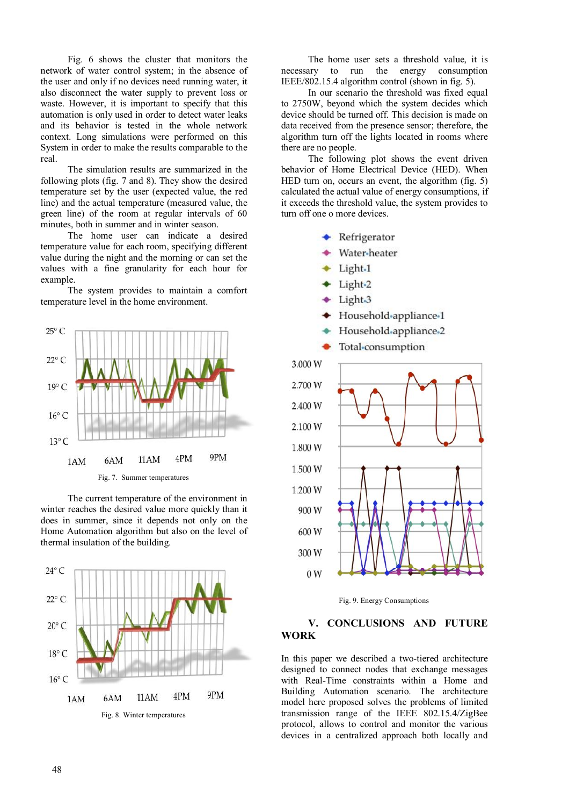Fig. 6 shows the cluster that monitors the network of water control system; in the absence of the user and only if no devices need running water, it also disconnect the water supply to prevent loss or waste. However, it is important to specify that this automation is only used in order to detect water leaks and its behavior is tested in the whole network context. Long simulations were performed on this System in order to make the results comparable to the real.

The simulation results are summarized in the following plots (fig. 7 and 8). They show the desired temperature set by the user (expected value, the red line) and the actual temperature (measured value, the green line) of the room at regular intervals of 60 minutes, both in summer and in winter season.

The home user can indicate a desired temperature value for each room, specifying different value during the night and the morning or can set the values with a fine granularity for each hour for example. The system provides to maintain a comfort

temperature level in the home environment.

 $25^{\circ}$  C  $22^{\circ}$  C  $19^\circ$  C  $16^{\circ}$  C  $13^{\circ}$  C 9PM 4PM 11AM 1AM 6AM Fig. 7. Summer temperatures

The current temperature of the environment in winter reaches the desired value more quickly than it does in summer, since it depends not only on the Home Automation algorithm but also on the level of thermal insulation of the building.



The home user sets a threshold value, it is necessary to run the energy consumption IEEE/802.15.4 algorithm control (shown in fig. 5).

In our scenario the threshold was fixed equal to 2750W, beyond which the system decides which device should be turned off. This decision is made on data received from the presence sensor; therefore, the algorithm turn off the lights located in rooms where there are no people.

The following plot shows the event driven behavior of Home Electrical Device (HED). When HED turn on, occurs an event, the algorithm (fig. 5) calculated the actual value of energy consumptions, if it exceeds the threshold value, the system provides to turn off one o more devices.

- ← Refrigerator
- Water-heater
- Light.1
- Light-2
- Light<sub>-3</sub>
- Household-appliance-1
- Household-appliance-2





# **V. CONCLUSIONS AND FUTURE WORK**

In this paper we described a two-tiered architecture designed to connect nodes that exchange messages with Real-Time constraints within a Home and Building Automation scenario. The architecture model here proposed solves the problems of limited transmission range of the IEEE 802.15.4/ZigBee protocol, allows to control and monitor the various devices in a centralized approach both locally and